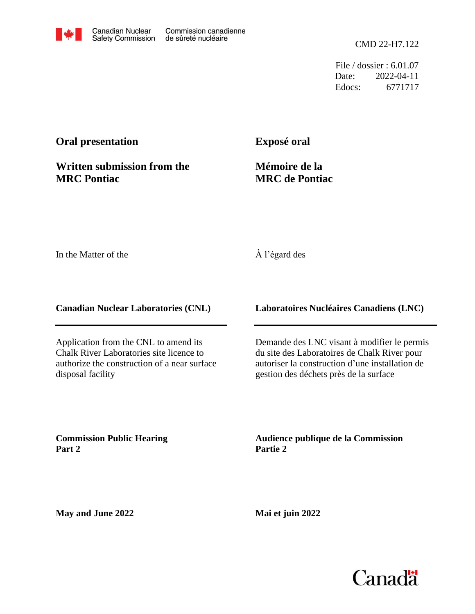CMD 22-H7.122

File / dossier : 6.01.07 Date: 2022-04-11 Edocs: 6771717

# **Oral presentation**

**Written submission from the MRC Pontiac**

**Exposé oral**

**Mémoire de la MRC de Pontiac**

In the Matter of the

#### À l'égard des

**Canadian Nuclear Laboratories (CNL)**

Application from the CNL to amend its Chalk River Laboratories site licence to authorize the construction of a near surface disposal facility

**Laboratoires Nucléaires Canadiens (LNC)**

Demande des LNC visant à modifier le permis du site des Laboratoires de Chalk River pour autoriser la construction d'une installation de gestion des déchets près de la surface

**Commission Public Hearing Part 2**

**Audience publique de la Commission Partie 2**

**May and June 2022**

**Mai et juin 2022**

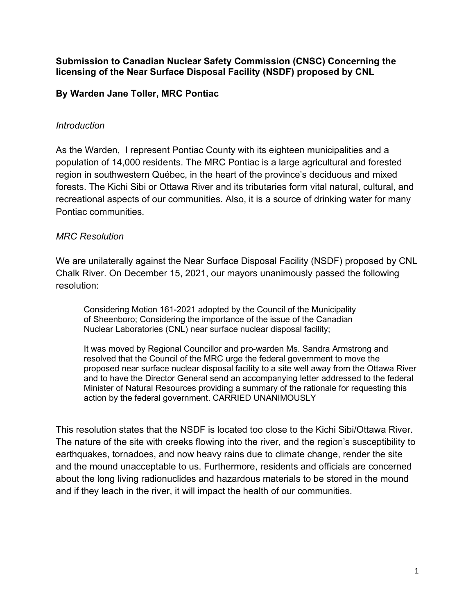#### **Submission to Canadian Nuclear Safety Commission (CNSC) Concerning the licensing of the Near Surface Disposal Facility (NSDF) proposed by CNL**

### **By Warden Jane Toller, MRC Pontiac**

#### *Introduction*

As the Warden, I represent Pontiac County with its eighteen municipalities and a population of 14,000 residents. The MRC Pontiac is a large agricultural and forested region in southwestern Québec, in the heart of the province's deciduous and mixed forests. The Kichi Sibi or Ottawa River and its tributaries form vital natural, cultural, and recreational aspects of our communities. Also, it is a source of drinking water for many Pontiac communities.

### *MRC Resolution*

We are unilaterally against the Near Surface Disposal Facility (NSDF) proposed by CNL Chalk River. On December 15, 2021, our mayors unanimously passed the following resolution:

Considering Motion 161-2021 adopted by the Council of the Municipality of Sheenboro; Considering the importance of the issue of the Canadian Nuclear Laboratories (CNL) near surface nuclear disposal facility;

It was moved by Regional Councillor and pro-warden Ms. Sandra Armstrong and resolved that the Council of the MRC urge the federal government to move the proposed near surface nuclear disposal facility to a site well away from the Ottawa River and to have the Director General send an accompanying letter addressed to the federal Minister of Natural Resources providing a summary of the rationale for requesting this action by the federal government. CARRIED UNANIMOUSLY

This resolution states that the NSDF is located too close to the Kichi Sibi/Ottawa River. The nature of the site with creeks flowing into the river, and the region's susceptibility to earthquakes, tornadoes, and now heavy rains due to climate change, render the site and the mound unacceptable to us. Furthermore, residents and officials are concerned about the long living radionuclides and hazardous materials to be stored in the mound and if they leach in the river, it will impact the health of our communities.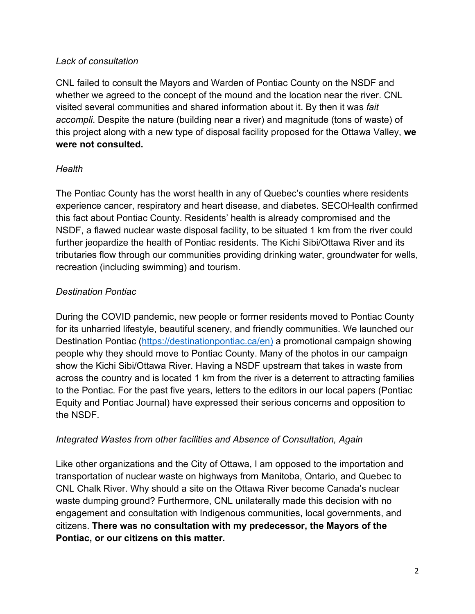### *Lack of consultation*

CNL failed to consult the Mayors and Warden of Pontiac County on the NSDF and whether we agreed to the concept of the mound and the location near the river. CNL visited several communities and shared information about it. By then it was *fait accompli*. Despite the nature (building near a river) and magnitude (tons of waste) of this project along with a new type of disposal facility proposed for the Ottawa Valley, **we were not consulted.**

# *Health*

The Pontiac County has the worst health in any of Quebec's counties where residents experience cancer, respiratory and heart disease, and diabetes. SECOHealth confirmed this fact about Pontiac County. Residents' health is already compromised and the NSDF, a flawed nuclear waste disposal facility, to be situated 1 km from the river could further jeopardize the health of Pontiac residents. The Kichi Sibi/Ottawa River and its tributaries flow through our communities providing drinking water, groundwater for wells, recreation (including swimming) and tourism.

# *Destination Pontiac*

During the COVID pandemic, new people or former residents moved to Pontiac County for its unharried lifestyle, beautiful scenery, and friendly communities. We launched our Destination Pontiac [\(https://destinationpontiac.ca/en\)](https://destinationpontiac.ca/en) a promotional campaign showing people why they should move to Pontiac County. Many of the photos in our campaign show the Kichi Sibi/Ottawa River. Having a NSDF upstream that takes in waste from across the country and is located 1 km from the river is a deterrent to attracting families to the Pontiac. For the past five years, letters to the editors in our local papers (Pontiac Equity and Pontiac Journal) have expressed their serious concerns and opposition to the NSDF.

# *Integrated Wastes from other facilities and Absence of Consultation, Again*

Like other organizations and the City of Ottawa, I am opposed to the importation and transportation of nuclear waste on highways from Manitoba, Ontario, and Quebec to CNL Chalk River. Why should a site on the Ottawa River become Canada's nuclear waste dumping ground? Furthermore, CNL unilaterally made this decision with no engagement and consultation with Indigenous communities, local governments, and citizens. **There was no consultation with my predecessor, the Mayors of the Pontiac, or our citizens on this matter.**